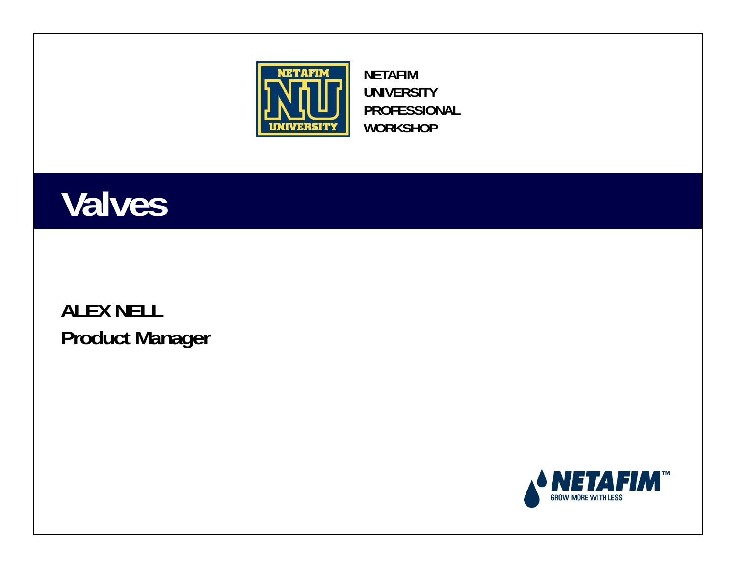

**NETAFIM UNIVERSITY PROFESSIONAL WORKSHOP**

#### **Valves**

#### **ALEX NELL Product Manager**

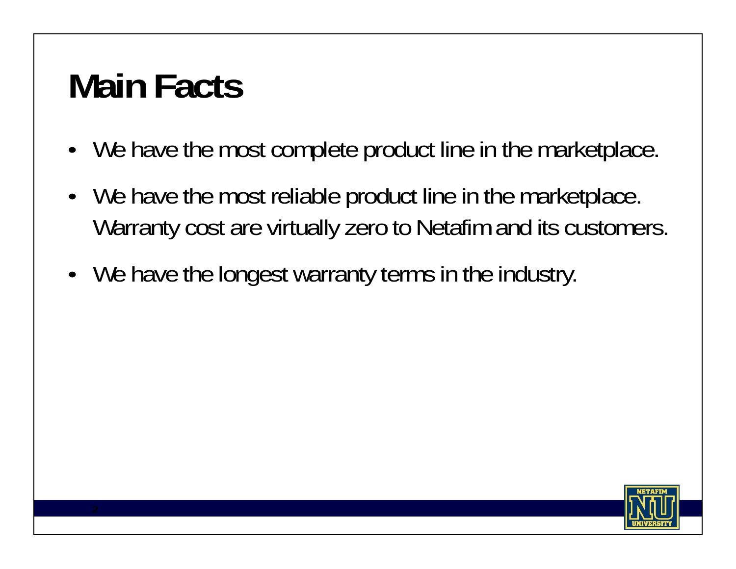# **Main Facts**

- We have the most complete product line in the marketplace.
- We have the most reliable product line in the marketplace. Warranty cost are virtually zero to Netafim and its customers.
- We have the longest warranty terms in the industry.

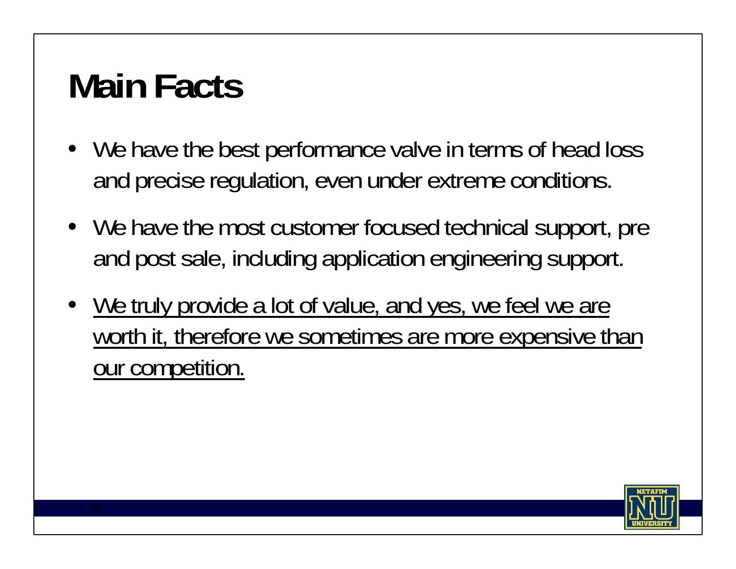# **Main Facts**

- We have the best performance valve in terms of head loss and precise regulation, even under extreme conditions.
- We have the most customer focused technical support, pre and post sale, including application engineering support.
- We truly provide a lot of value, and yes, we feel we are worth it, therefore we sometimes are more expensive than our competition.

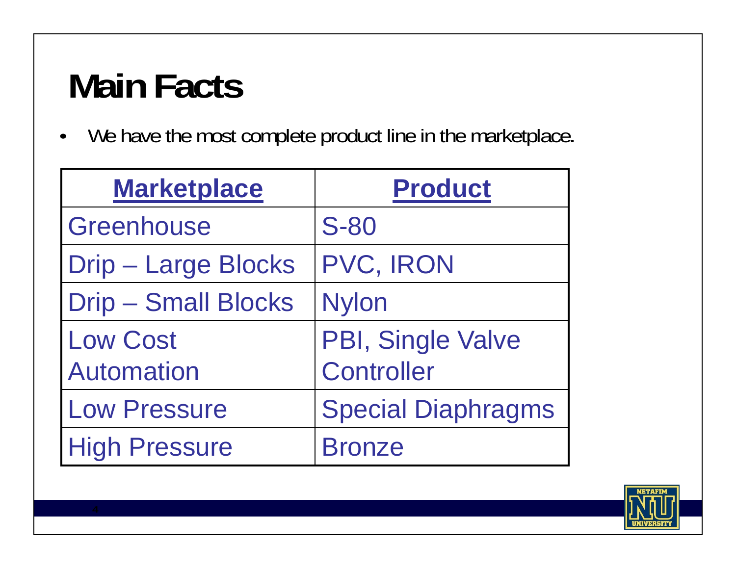# **Main Facts**

•We have the most complete product line in the marketplace**.**

| <b>Marketplace</b>         | <b>Product</b>            |
|----------------------------|---------------------------|
| Greenhouse                 | <b>S-80</b>               |
| <b>Drip - Large Blocks</b> | PVC, IRON                 |
| <b>Drip - Small Blocks</b> | <b>Nylon</b>              |
| <b>Low Cost</b>            | PBI, Single Valve         |
| <b>Automation</b>          | <b>Controller</b>         |
| <b>Low Pressure</b>        | <b>Special Diaphragms</b> |
| <b>High Pressure</b>       | <b>Bronze</b>             |

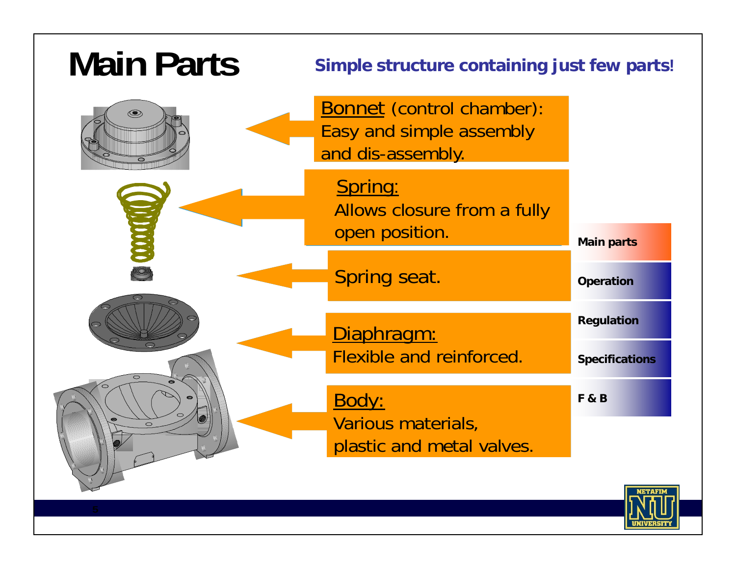| <b>Main Parts</b> | Simple structure containing just few parts!                                       |                                     |
|-------------------|-----------------------------------------------------------------------------------|-------------------------------------|
| $\circledcirc$    | <b>Bonnet (control chamber):</b><br>Easy and simple assembly<br>and dis-assembly. |                                     |
| <b>ODOO</b>       | Spring:<br>Allows closure from a fully<br>open position.                          | <b>Main parts</b>                   |
|                   | Spring seat.                                                                      | <b>Operation</b>                    |
|                   | Diaphragm:<br><b>Flexible and reinforced.</b>                                     | Regulation<br><b>Specifications</b> |
| $\circ$           | Body:<br>Various materials,<br>plastic and metal valves.                          | <b>F&amp;B</b>                      |
|                   |                                                                                   |                                     |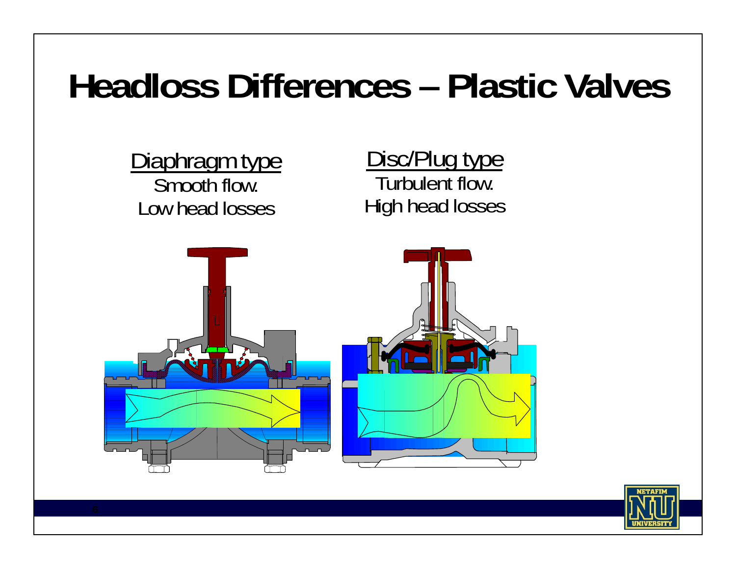### **Headloss Differences – Plastic Valves**



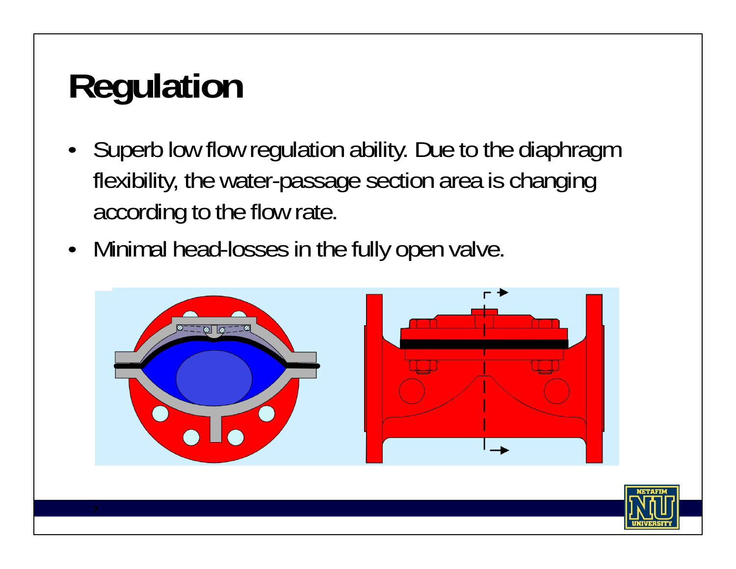# **Regulation**

- Superb low flow regulation ability. Due to the diaphragm flexibility, the water-passage section area is changing according to the flow rate.
- Minimal head-losses in the fully open valve.



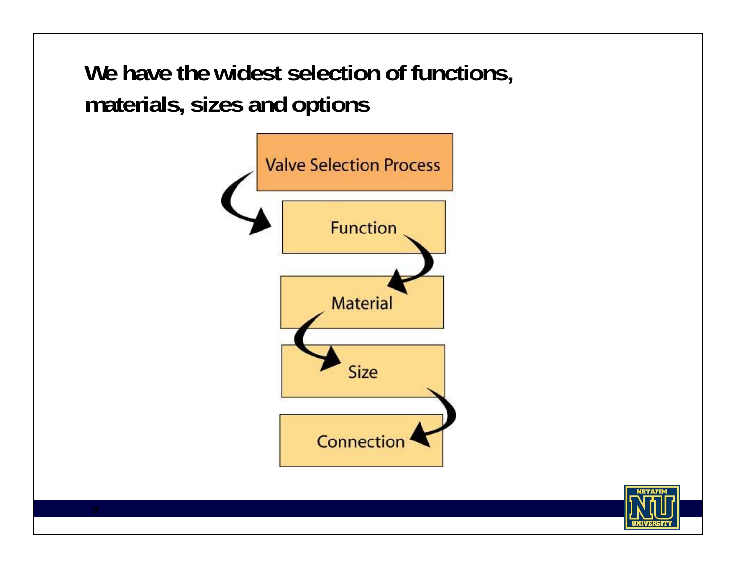**We have the widest selection of functions, materials, sizes and options**



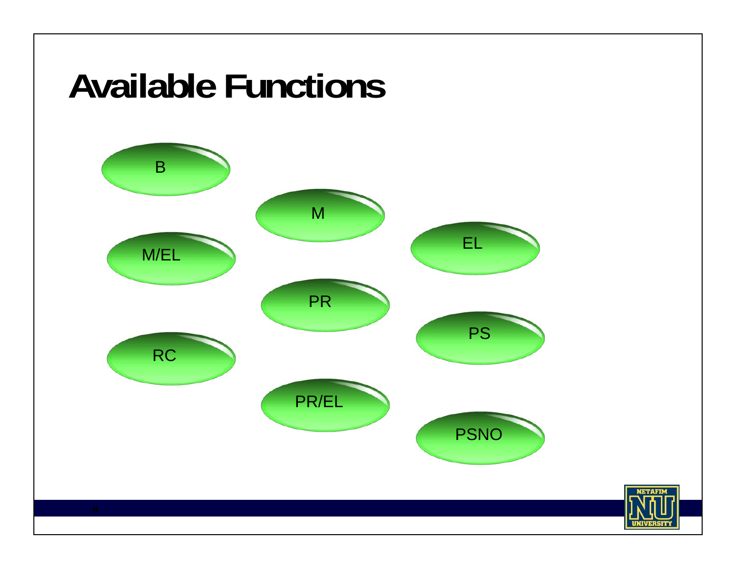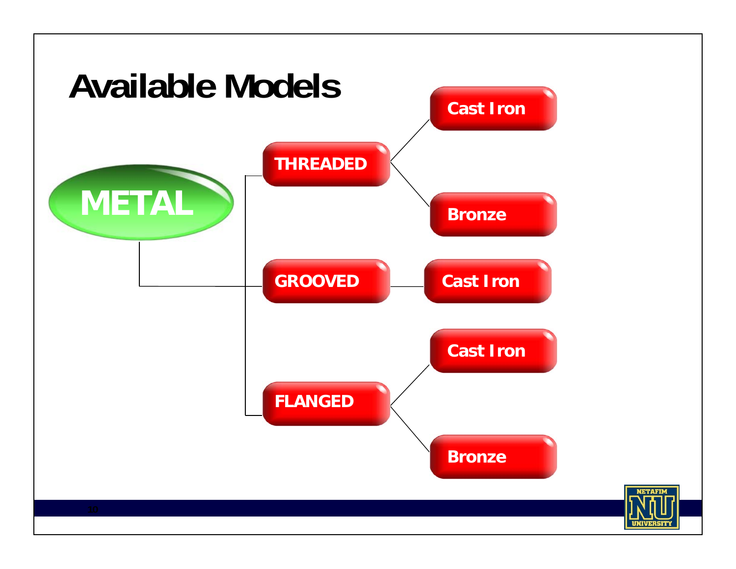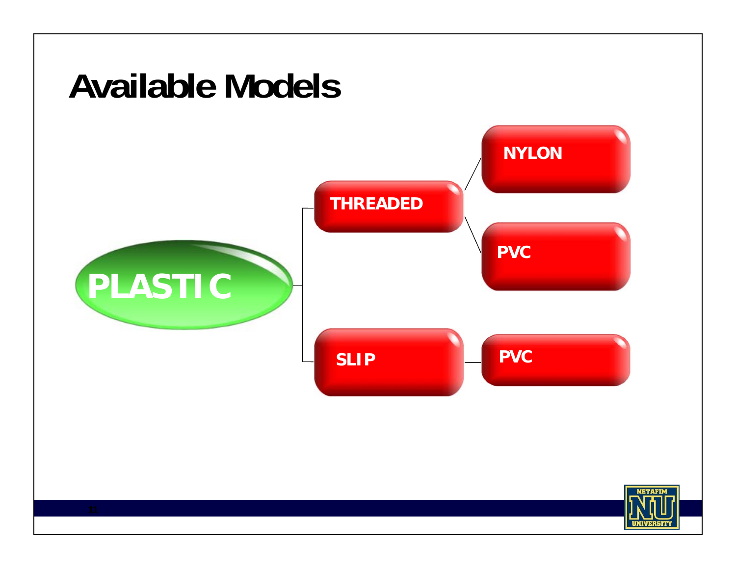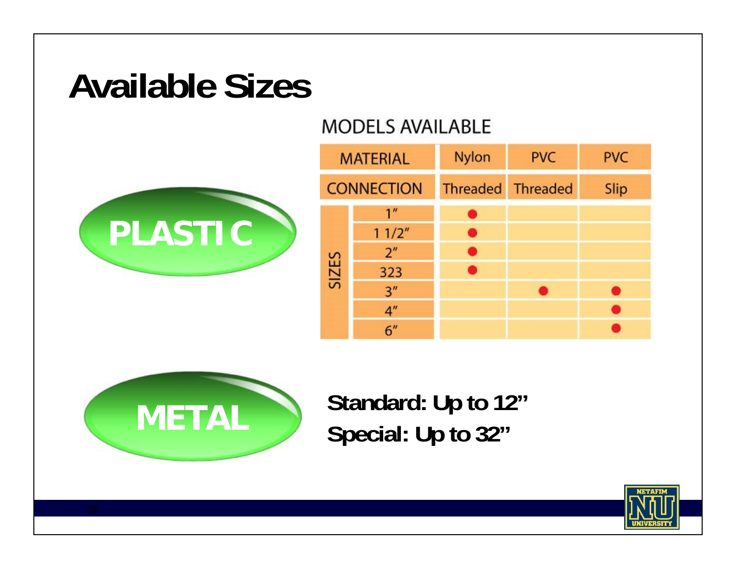#### **Available Sizes**

#### **MODELS AVAILABLE**



|       | <b>MATERIAL</b>   | <b>Nylon</b>      | <b>PVC</b> | <b>PVC</b> |
|-------|-------------------|-------------------|------------|------------|
|       | <b>CONNECTION</b> | Threaded Threaded |            | Slip       |
| SIZES | 1 <sup>''</sup>   | r.                |            |            |
|       | 11/2"             | 69                |            |            |
|       | 2 <sup>n</sup>    | ×,                |            |            |
|       | 323               | П                 |            |            |
|       | 3''               |                   |            |            |
|       | 4 <sup>''</sup>   |                   |            |            |
|       | 6"                |                   |            |            |



**Standard: Up to 12" Special: Up to 32"**

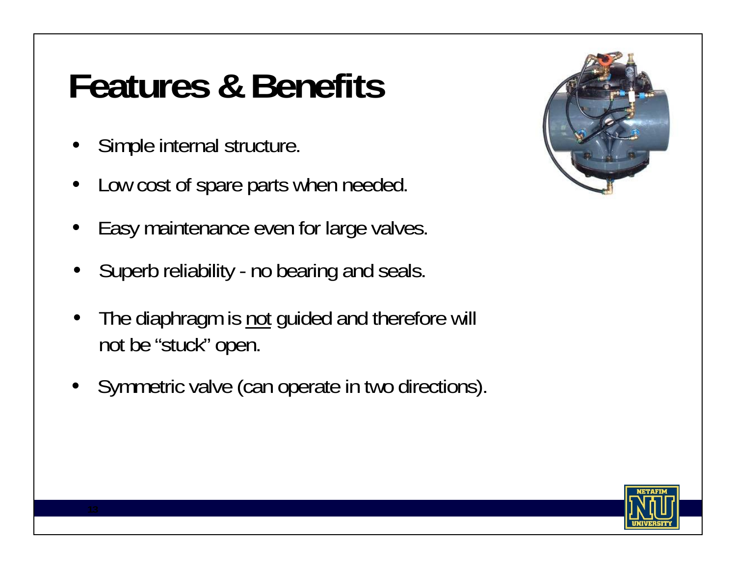### **Features & Benefits**

- •Simple internal structure.
- •Low cost of spare parts when needed.
- •Easy maintenance even for large valves.
- •Superb reliability - no bearing and seals.
- •The diaphragm is not guided and therefore will not be "stuck" open.
- Symmetric valve (can operate in two directions).



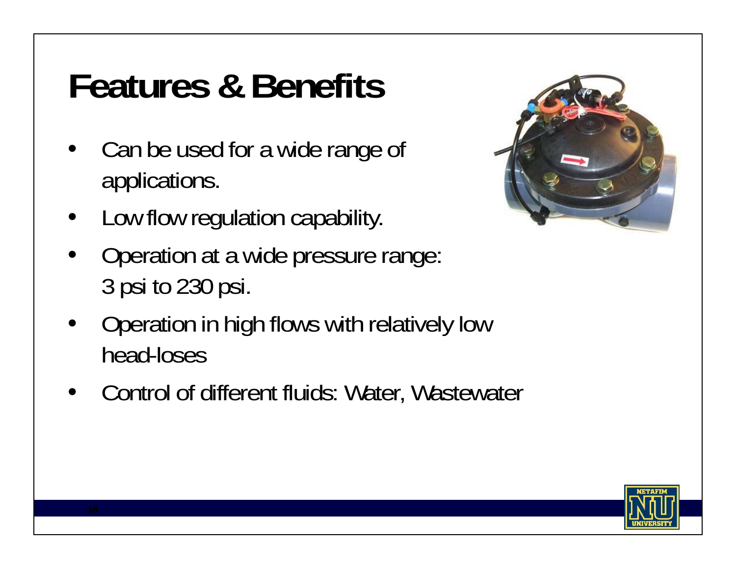## **Features & Benefits**

- • Can be used for a wide range of applications.
- •Low flow regulation capability.
- • Operation at a wide pressure range: 3 psi to 230 psi.
- • Operation in high flows with relatively low head-loses
- Control of different fluids: Water, Wastewater



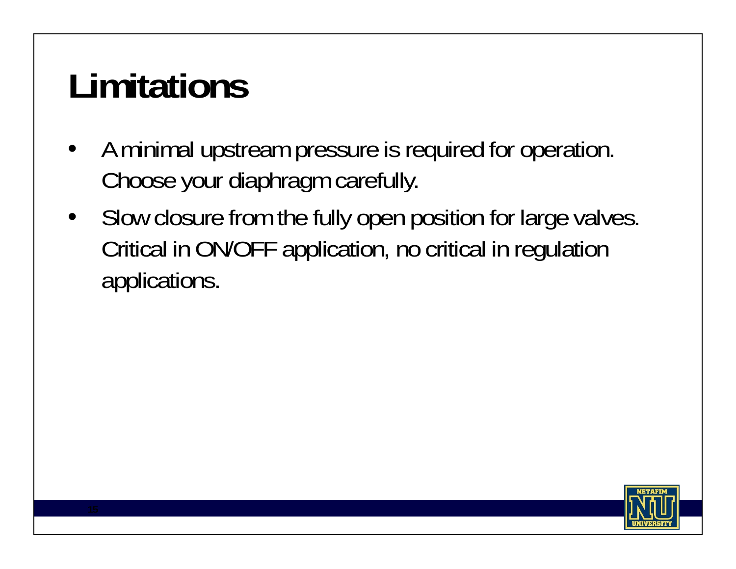# **Limitations**

- • A minimal upstream pressure is required for operation. Choose your diaphragm carefully.
- $\bullet$  Slow closure from the fully open position for large valves. Critical in ON/OFF application, no critical in regulation applications.

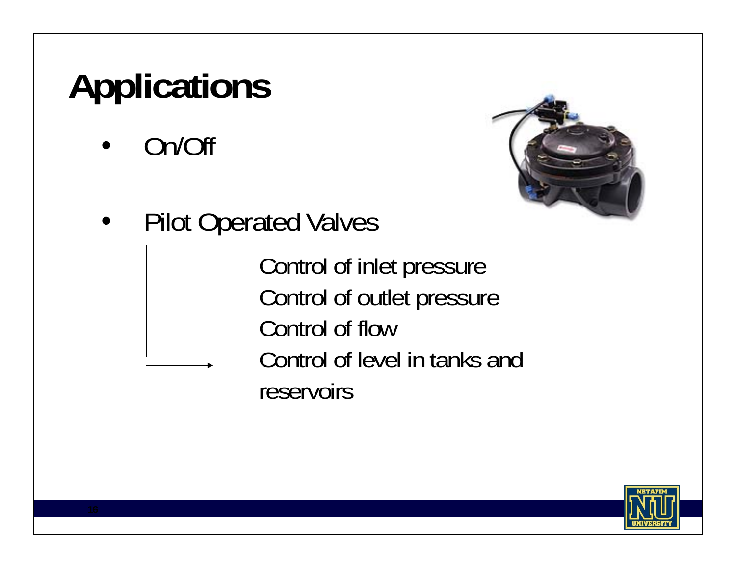# **Applications**

•On/Off



 $\bullet$ Pilot Operated Valves

> Control of inlet pressure Control of outlet pressure Control of flowControl of level in tanks and reservoirs

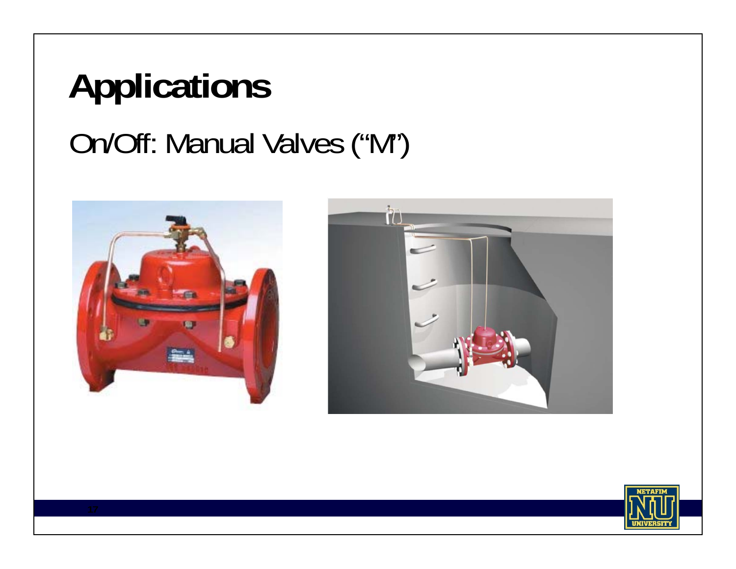# On/Off: Manual Valves ("M") **Applications**





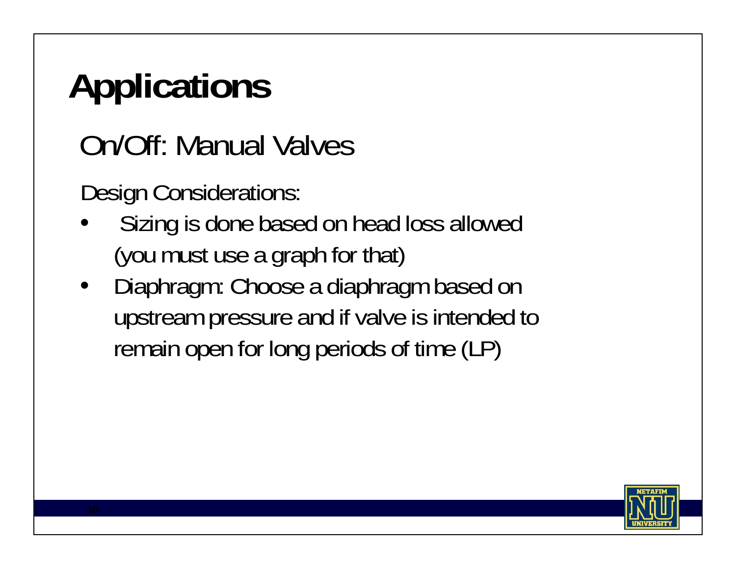# **Applications**

On/Off: Manual Valves

Design Considerations:

- • Sizing is done based on head loss allowed (you must use a graph for that)
- $\bullet$  Diaphragm: Choose a diaphragm based on upstream pressure and if valve is intended to remain open for long periods of time (LP)

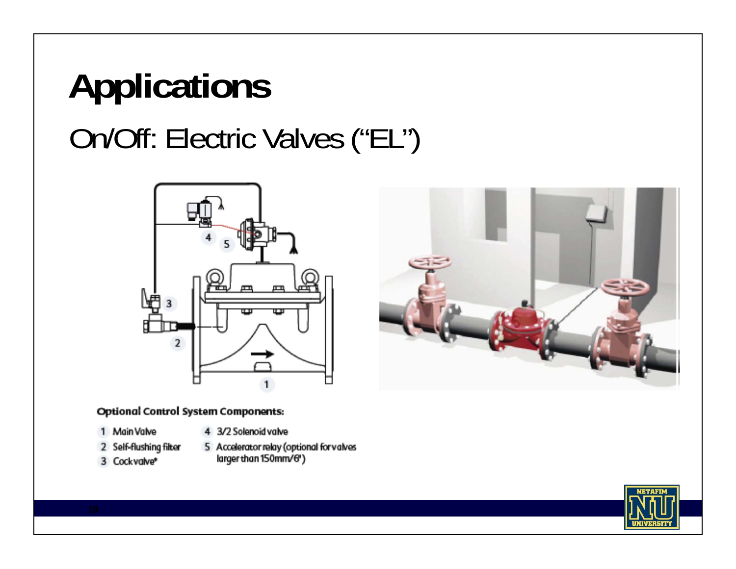# On/Off: Electric Valves ("EL") **Applications**



#### **Optional Control System Components:**

- 1 Main Valve
- 4 3/2 Solenoid valve
- 2 Self-flushing filter
- 3 Cockvalve\*
- 5 Accelerator relay (optional for valves
- larger than 150mm/6")



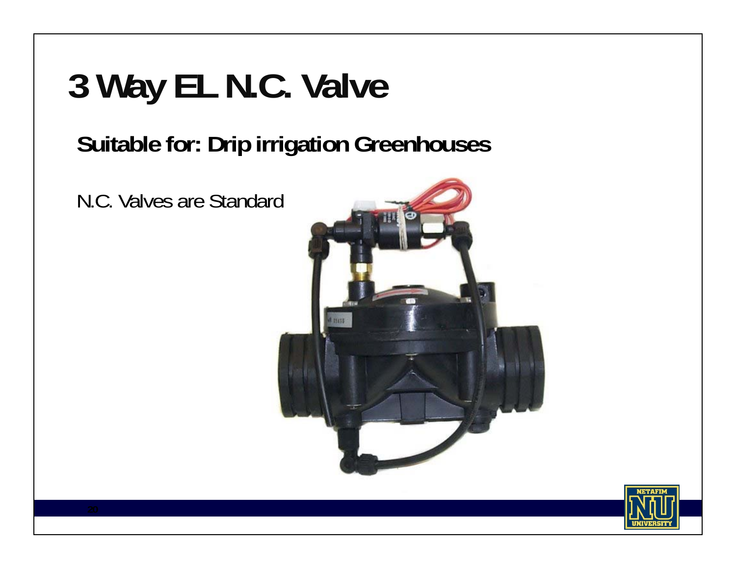# **3 Way EL N.C. Valve**

#### **Suitable for: Drip irrigation Greenhouses**

N.C. Valves are Standard



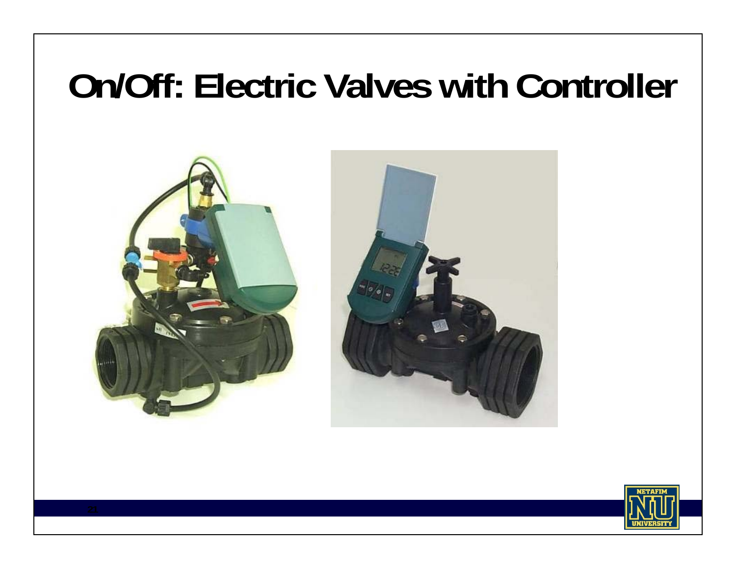#### **On/Off: Electric Valves with Controller**